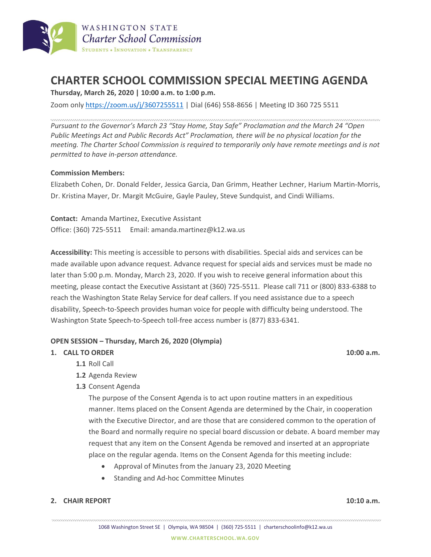

# **CHARTER SCHOOL COMMISSION SPECIAL MEETING AGENDA**

**Thursday, March 26, 2020 | 10:00 a.m. to 1:00 p.m.**

Zoom only <https://zoom.us/j/3607255511> | Dial (646) 558-8656 | Meeting ID 360 725 5511

*Pursuant to the Governor's March 23 "Stay Home, Stay Safe" Proclamation and the March 24 "Open Public Meetings Act and Public Records Act" Proclamation, there will be no physical location for the meeting. The Charter School Commission is required to temporarily only have remote meetings and is not permitted to have in-person attendance.*

### **Commission Members:**

Elizabeth Cohen, Dr. Donald Felder, Jessica Garcia, Dan Grimm, Heather Lechner, Harium Martin-Morris, Dr. Kristina Mayer, Dr. Margit McGuire, Gayle Pauley, Steve Sundquist, and Cindi Williams.

**Contact:** Amanda Martinez, Executive Assistant Office: (360) 725-5511 Email: amanda.martinez@k12.wa.us

**Accessibility:** This meeting is accessible to persons with disabilities. Special aids and services can be made available upon advance request. Advance request for special aids and services must be made no later than 5:00 p.m. Monday, March 23, 2020. If you wish to receive general information about this meeting, please contact the Executive Assistant at (360) 725-5511. Please call 711 or (800) 833-6388 to reach the Washington State Relay Service for deaf callers. If you need assistance due to a speech disability, Speech-to-Speech provides human voice for people with difficulty being understood. The Washington State Speech-to-Speech toll-free access number is (877) 833-6341.

### **OPEN SESSION – Thursday, March 26, 2020 (Olympia)**

### **1. CALL TO ORDER 10:00 a.m.**

- **1.1** Roll Call
- **1.2** Agenda Review
- **1.3** Consent Agenda

The purpose of the Consent Agenda is to act upon routine matters in an expeditious manner. Items placed on the Consent Agenda are determined by the Chair, in cooperation with the Executive Director, and are those that are considered common to the operation of the Board and normally require no special board discussion or debate. A board member may request that any item on the Consent Agenda be removed and inserted at an appropriate place on the regular agenda. Items on the Consent Agenda for this meeting include:

- Approval of Minutes from the January 23, 2020 Meeting
- Standing and Ad-hoc Committee Minutes

### **2. CHAIR REPORT 10:10 a.m.**

1068 Washington Street SE | Olympia, WA 98504 | (360) 725-5511 | charterschoolinfo@k12.wa.us